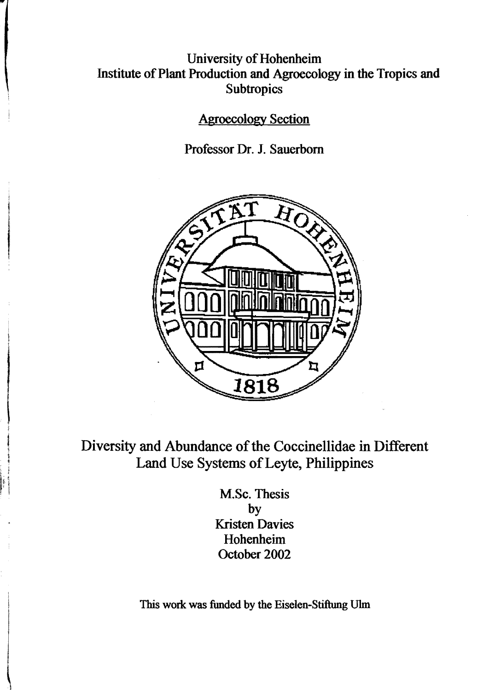## University of Hohenheim Institute of Plant Production and Agroecology in the Tropics and **Subtropics**

Agroecology Section

Professor Dr. 1. Sauerbom



Diversity and Abundance of the Coccinellidae in Different Land Use Systems of Leyte, Philippines

> M.Sc. Thesis by Kristen Davies Hohenheim October 2002

This work was funded by the Eiselen-Stiftung Ulm